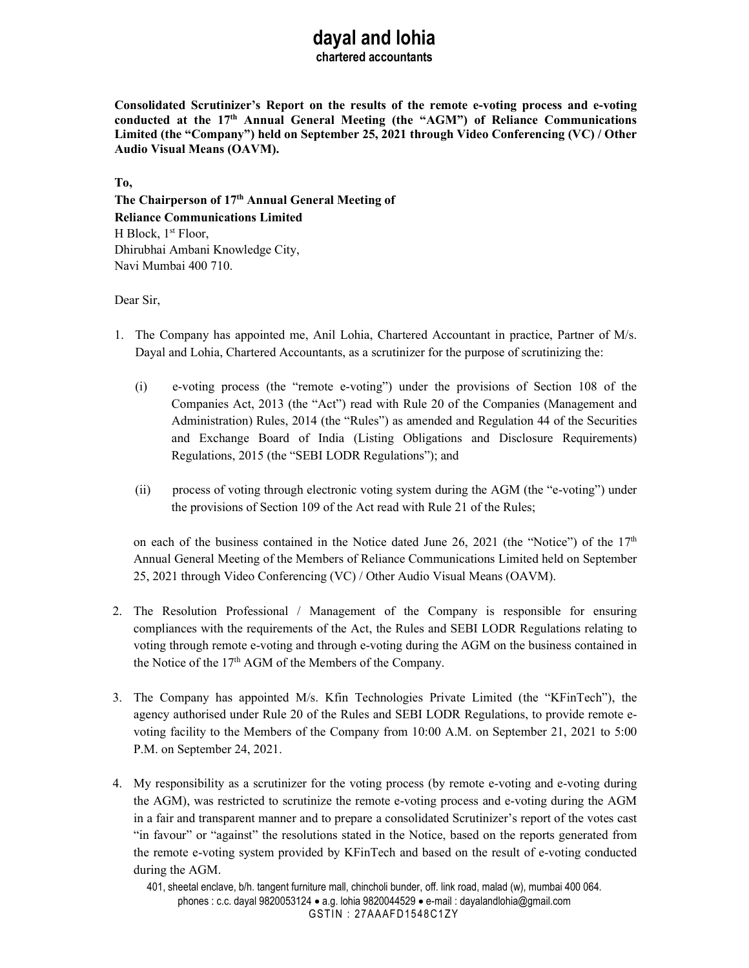# **dayal and lohia**

**chartered accountants** 

**Consolidated Scrutinizer's Report on the results of the remote e-voting process and e-voting conducted at the 17th Annual General Meeting (the "AGM") of Reliance Communications Limited (the "Company") held on September 25, 2021 through Video Conferencing (VC) / Other Audio Visual Means (OAVM).** 

**To,** 

**The Chairperson of 17th Annual General Meeting of Reliance Communications Limited**  H Block, 1<sup>st</sup> Floor, Dhirubhai Ambani Knowledge City, Navi Mumbai 400 710.

Dear Sir,

- 1. The Company has appointed me, Anil Lohia, Chartered Accountant in practice, Partner of M/s. Dayal and Lohia, Chartered Accountants, as a scrutinizer for the purpose of scrutinizing the:
	- (i) e-voting process (the "remote e-voting") under the provisions of Section 108 of the Companies Act, 2013 (the "Act") read with Rule 20 of the Companies (Management and Administration) Rules, 2014 (the "Rules") as amended and Regulation 44 of the Securities and Exchange Board of India (Listing Obligations and Disclosure Requirements) Regulations, 2015 (the "SEBI LODR Regulations"); and
	- (ii) process of voting through electronic voting system during the AGM (the "e-voting") under the provisions of Section 109 of the Act read with Rule 21 of the Rules;

on each of the business contained in the Notice dated June 26, 2021 (the "Notice") of the  $17<sup>th</sup>$ Annual General Meeting of the Members of Reliance Communications Limited held on September 25, 2021 through Video Conferencing (VC) / Other Audio Visual Means (OAVM).

- 2. The Resolution Professional / Management of the Company is responsible for ensuring compliances with the requirements of the Act, the Rules and SEBI LODR Regulations relating to voting through remote e-voting and through e-voting during the AGM on the business contained in the Notice of the 17<sup>th</sup> AGM of the Members of the Company.
- 3. The Company has appointed M/s. Kfin Technologies Private Limited (the "KFinTech"), the agency authorised under Rule 20 of the Rules and SEBI LODR Regulations, to provide remote evoting facility to the Members of the Company from 10:00 A.M. on September 21, 2021 to 5:00 P.M. on September 24, 2021.
- 4. My responsibility as a scrutinizer for the voting process (by remote e-voting and e-voting during the AGM), was restricted to scrutinize the remote e-voting process and e-voting during the AGM in a fair and transparent manner and to prepare a consolidated Scrutinizer's report of the votes cast "in favour" or "against" the resolutions stated in the Notice, based on the reports generated from the remote e-voting system provided by KFinTech and based on the result of e-voting conducted during the AGM.

401, sheetal enclave, b/h. tangent furniture mall, chincholi bunder, off. link road, malad (w), mumbai 400 064. phones : c.c. dayal 9820053124 a.g. lohia 9820044529 e-mail : dayalandlohia@gmail.com GSTIN: 27AAAFD1548C1ZY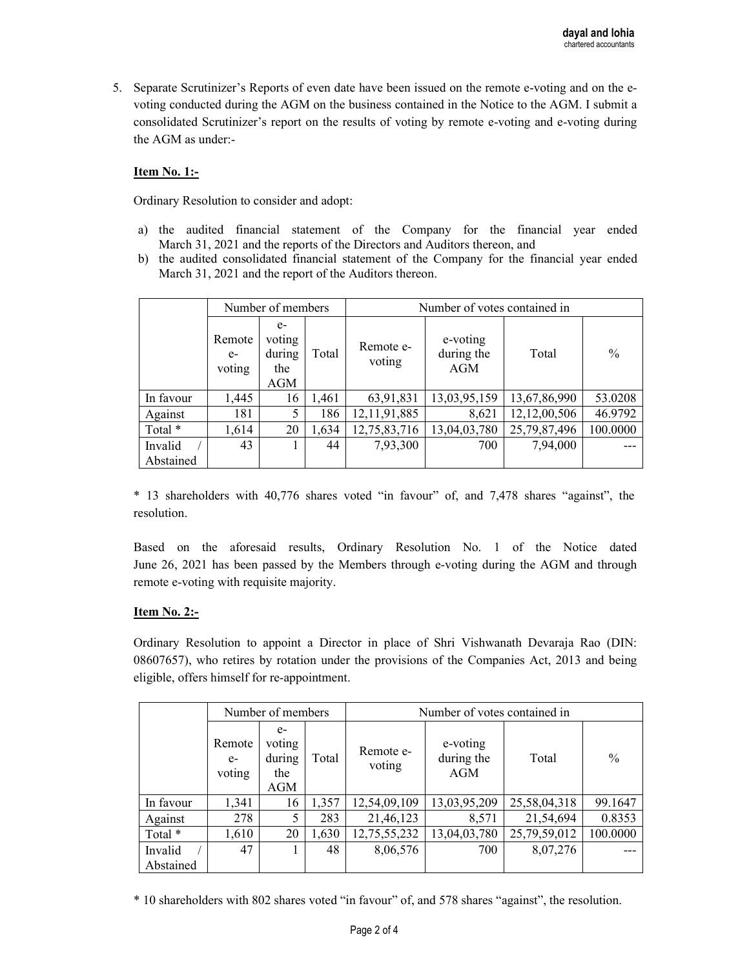5. Separate Scrutinizer's Reports of even date have been issued on the remote e-voting and on the evoting conducted during the AGM on the business contained in the Notice to the AGM. I submit a consolidated Scrutinizer's report on the results of voting by remote e-voting and e-voting during the AGM as under:-

## **Item No. 1:-**

Ordinary Resolution to consider and adopt:

- a) the audited financial statement of the Company for the financial year ended March 31, 2021 and the reports of the Directors and Auditors thereon, and
- b) the audited consolidated financial statement of the Company for the financial year ended March 31, 2021 and the report of the Auditors thereon.

|           | Number of members        |                                        |       | Number of votes contained in |                                      |              |               |
|-----------|--------------------------|----------------------------------------|-------|------------------------------|--------------------------------------|--------------|---------------|
|           | Remote<br>$e-$<br>voting | $e-$<br>voting<br>during<br>the<br>AGM | Total | Remote e-<br>voting          | e-voting<br>during the<br><b>AGM</b> | Total        | $\frac{0}{0}$ |
| In favour | 1,445                    | 16                                     | 1,461 | 63,91,831                    | 13,03,95,159                         | 13,67,86,990 | 53.0208       |
| Against   | 181                      | 5                                      | 186   | 12, 11, 91, 885              | 8,621                                | 12,12,00,506 | 46.9792       |
| Total *   | 1,614                    | 20                                     | 1,634 | 12,75,83,716                 | 13,04,03,780                         | 25,79,87,496 | 100.0000      |
| Invalid   | 43                       |                                        | 44    | 7,93,300                     | 700                                  | 7,94,000     |               |
| Abstained |                          |                                        |       |                              |                                      |              |               |

\* 13 shareholders with 40,776 shares voted "in favour" of, and 7,478 shares "against", the resolution.

Based on the aforesaid results, Ordinary Resolution No. 1 of the Notice dated June 26, 2021 has been passed by the Members through e-voting during the AGM and through remote e-voting with requisite majority.

#### **Item No. 2:-**

Ordinary Resolution to appoint a Director in place of Shri Vishwanath Devaraja Rao (DIN: 08607657), who retires by rotation under the provisions of the Companies Act, 2013 and being eligible, offers himself for re-appointment.

|           | Number of members        |                                        |       | Number of votes contained in |                               |              |               |
|-----------|--------------------------|----------------------------------------|-------|------------------------------|-------------------------------|--------------|---------------|
|           | Remote<br>$e-$<br>voting | $e-$<br>voting<br>during<br>the<br>AGM | Total | Remote e-<br>voting          | e-voting<br>during the<br>AGM | Total        | $\frac{0}{0}$ |
| In favour | 1,341                    | 16                                     | 1,357 | 12,54,09,109                 | 13,03,95,209                  | 25,58,04,318 | 99.1647       |
| Against   | 278                      | 5                                      | 283   | 21,46,123                    | 8,571                         | 21,54,694    | 0.8353        |
| Total *   | 1,610                    | 20                                     | 1,630 | 12,75,55,232                 | 13,04,03,780                  | 25,79,59,012 | 100.0000      |
| Invalid   | 47                       |                                        | 48    | 8,06,576                     | 700                           | 8,07,276     |               |
| Abstained |                          |                                        |       |                              |                               |              |               |

\* 10 shareholders with 802 shares voted "in favour" of, and 578 shares "against", the resolution.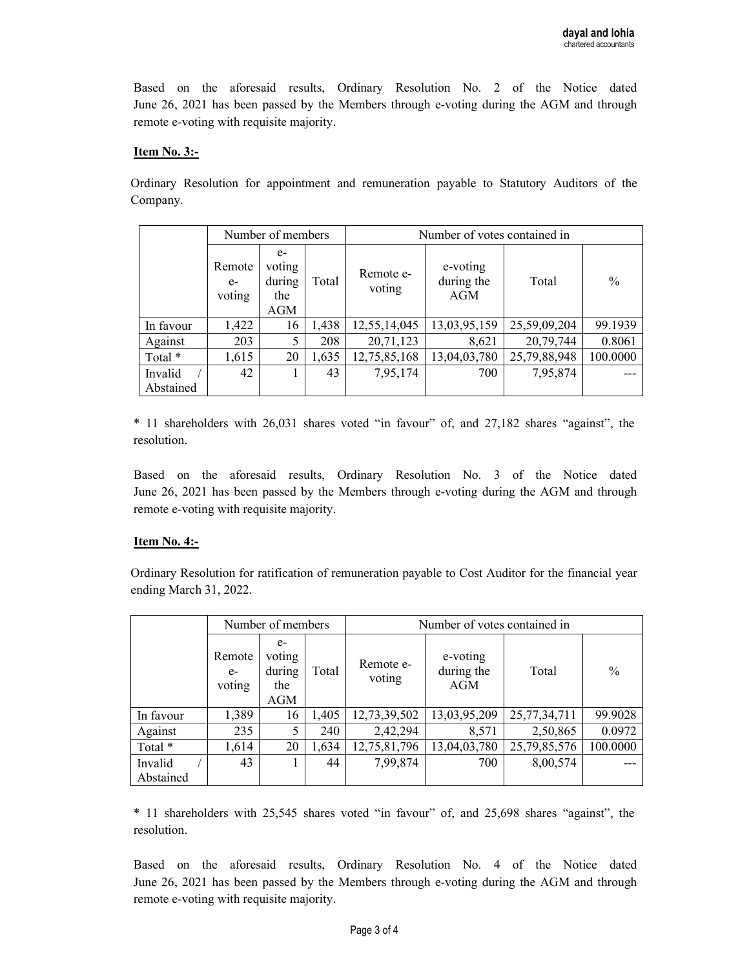Based on the aforesaid results, Ordinary Resolution No. 2 of the Notice dated June 26, 2021 has been passed by the Members through e-voting during the AGM and through remote e-voting with requisite majority.

### **Item No. 3:-**

Ordinary Resolution for appointment and remuneration payable to Statutory Auditors of the Company.

|           | Number of members        |                                        |       | Number of votes contained in |                               |              |               |
|-----------|--------------------------|----------------------------------------|-------|------------------------------|-------------------------------|--------------|---------------|
|           | Remote<br>$e-$<br>voting | $e-$<br>voting<br>during<br>the<br>AGM | Total | Remote e-<br>voting          | e-voting<br>during the<br>AGM | Total        | $\frac{0}{0}$ |
| In favour | 1,422                    | 16                                     | 1,438 | 12,55,14,045                 | 13,03,95,159                  | 25,59,09,204 | 99.1939       |
| Against   | 203                      | 5                                      | 208   | 20,71,123                    | 8,621                         | 20,79,744    | 0.8061        |
| Total *   | 1,615                    | 20                                     | 1,635 | 12,75,85,168                 | 13,04,03,780                  | 25,79,88,948 | 100.0000      |
| Invalid   | 42                       |                                        | 43    | 7,95,174                     | 700                           | 7,95,874     |               |
| Abstained |                          |                                        |       |                              |                               |              |               |

\* 11 shareholders with 26,031 shares voted "in favour" of, and 27,182 shares "against", the resolution.

Based on the aforesaid results, Ordinary Resolution No. 3 of the Notice dated June 26, 2021 has been passed by the Members through e-voting during the AGM and through remote e-voting with requisite majority.

#### **Item No. 4:-**

Ordinary Resolution for ratification of remuneration payable to Cost Auditor for the financial year ending March 31, 2022.

|           | Number of members        |                                        |       | Number of votes contained in |                               |              |               |
|-----------|--------------------------|----------------------------------------|-------|------------------------------|-------------------------------|--------------|---------------|
|           | Remote<br>$e-$<br>voting | $e-$<br>voting<br>during<br>the<br>AGM | Total | Remote e-<br>voting          | e-voting<br>during the<br>AGM | Total        | $\frac{0}{0}$ |
| In favour | 1,389                    | 16                                     | 1,405 | 12,73,39,502                 | 13,03,95,209                  | 25,77,34,711 | 99.9028       |
| Against   | 235                      | 5                                      | 240   | 2,42,294                     | 8,571                         | 2,50,865     | 0.0972        |
| Total *   | 1,614                    | 20                                     | 1,634 | 12,75,81,796                 | 13,04,03,780                  | 25,79,85,576 | 100.0000      |
| Invalid   | 43                       |                                        | 44    | 7,99,874                     | 700                           | 8,00,574     |               |
| Abstained |                          |                                        |       |                              |                               |              |               |

\* 11 shareholders with 25,545 shares voted "in favour" of, and 25,698 shares "against", the resolution.

Based on the aforesaid results, Ordinary Resolution No. 4 of the Notice dated June 26, 2021 has been passed by the Members through e-voting during the AGM and through remote e-voting with requisite majority.